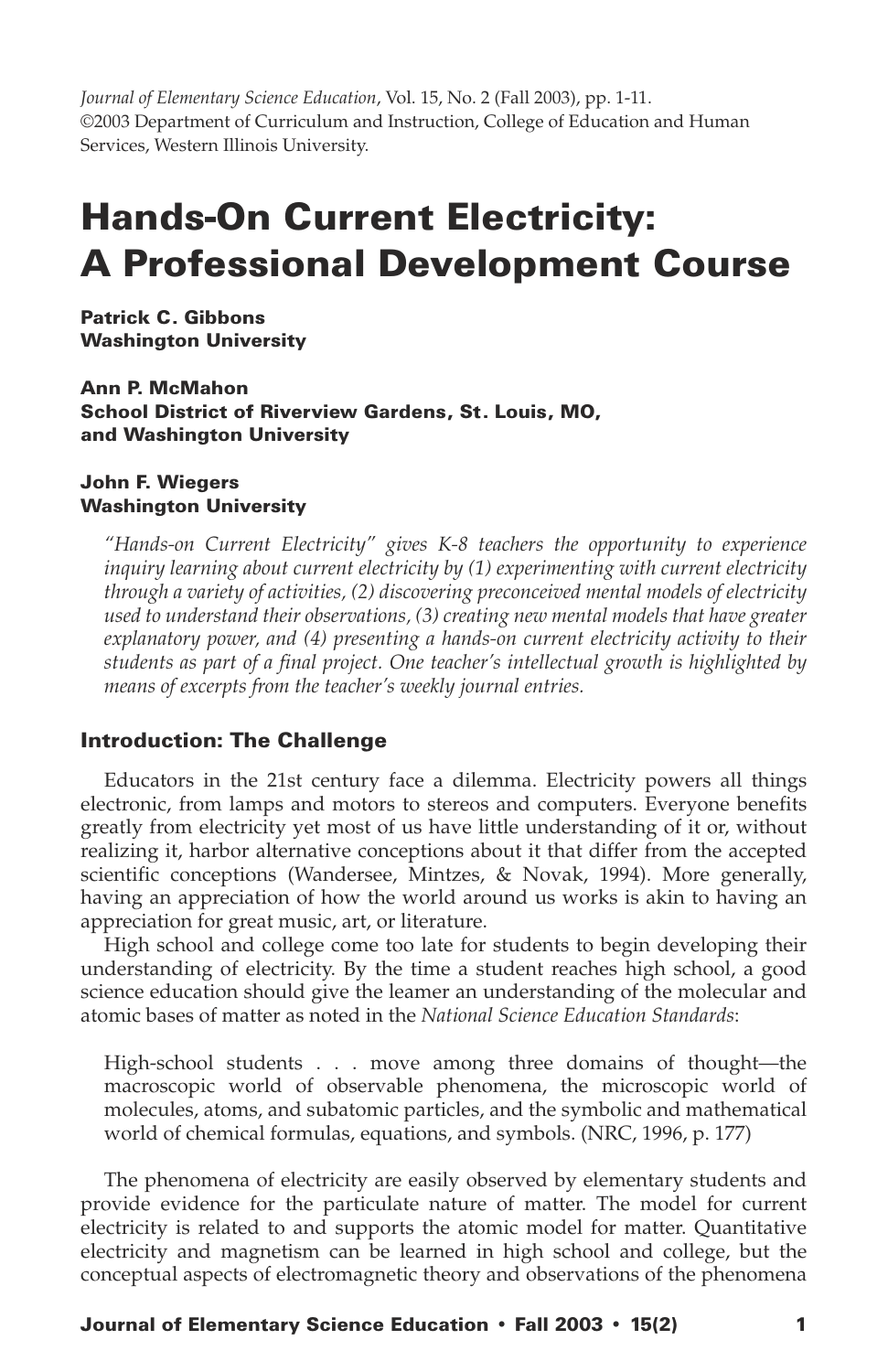*Journal of Elementary Science Education*, Vol. 15, No. 2 (Fall 2003), pp. 1-11. ©2003 Department of Curriculum and Instruction, College of Education and Human Services, Western Illinois University.

# Hands-On Current Electricity: A Professional Development Course

Patrick C. Gibbons Washington University

Ann P. McMahon School District of Riverview Gardens, St. Louis, MO, and Washington University

### John F. Wiegers Washington University

*"Hands-on Current Electricity" gives K-8 teachers the opportunity to experience inquiry learning about current electricity by (1) experimenting with current electricity through a variety of activities, (2) discovering preconceived mental models of electricity used to understand their observations, (3) creating new mental models that have greater explanatory power, and (4) presenting a hands-on current electricity activity to their students as part of a final project. One teacher's intellectual growth is highlighted by means of excerpts from the teacher's weekly journal entries.*

# Introduction: The Challenge

Educators in the 21st century face a dilemma. Electricity powers all things electronic, from lamps and motors to stereos and computers. Everyone benefits greatly from electricity yet most of us have little understanding of it or, without realizing it, harbor alternative conceptions about it that differ from the accepted scientific conceptions (Wandersee, Mintzes, & Novak, 1994). More generally, having an appreciation of how the world around us works is akin to having an appreciation for great music, art, or literature.

High school and college come too late for students to begin developing their understanding of electricity. By the time a student reaches high school, a good science education should give the leamer an understanding of the molecular and atomic bases of matter as noted in the *National Science Education Standards*:

High-school students . . . move among three domains of thought—the macroscopic world of observable phenomena, the microscopic world of molecules, atoms, and subatomic particles, and the symbolic and mathematical world of chemical formulas, equations, and symbols. (NRC, 1996, p. 177)

The phenomena of electricity are easily observed by elementary students and provide evidence for the particulate nature of matter. The model for current electricity is related to and supports the atomic model for matter. Quantitative electricity and magnetism can be learned in high school and college, but the conceptual aspects of electromagnetic theory and observations of the phenomena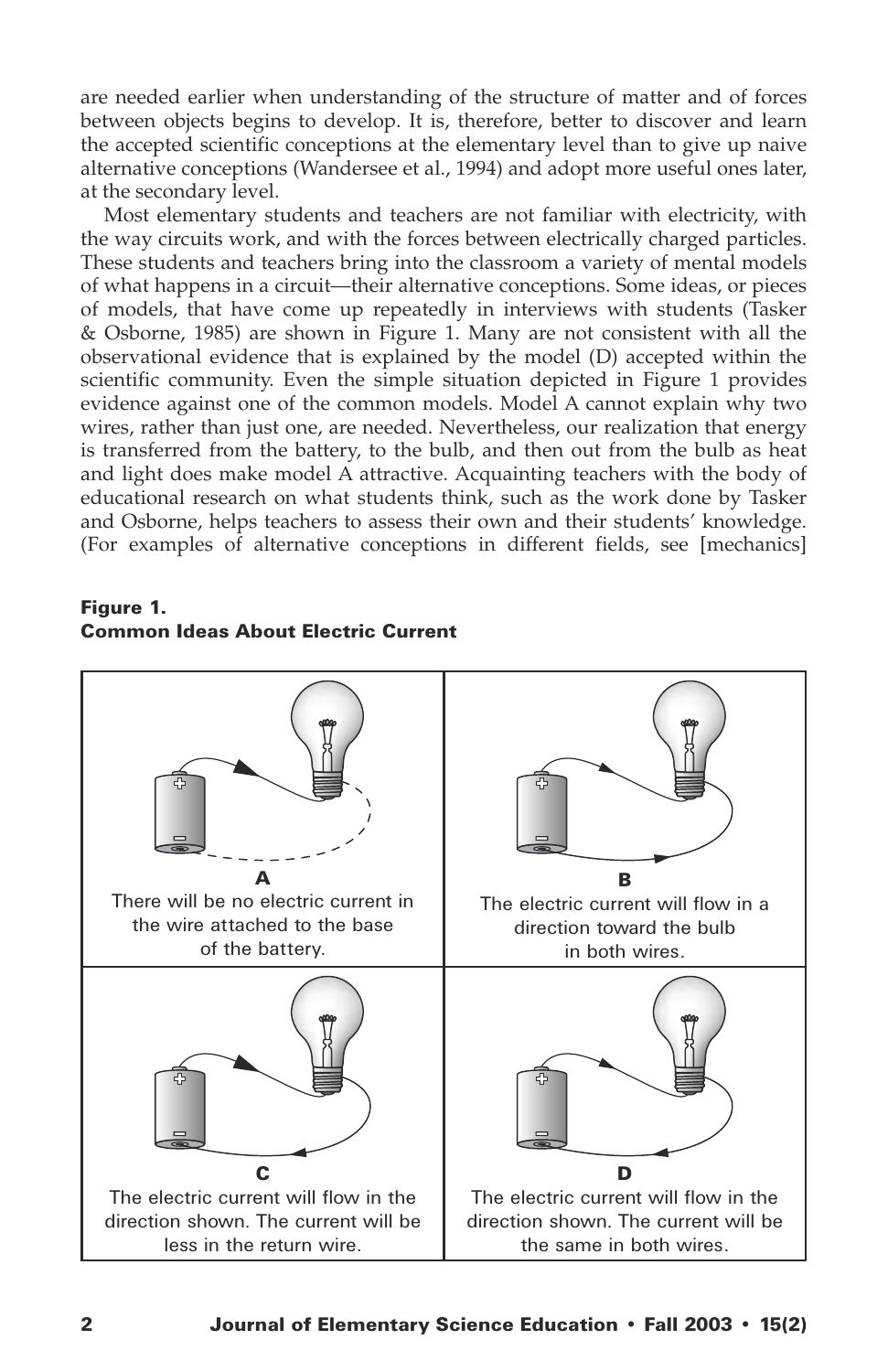are needed earlier when understanding of the structure of matter and of forces between objects begins to develop. It is, therefore, better to discover and learn the accepted scientific conceptions at the elementary level than to give up naive alternative conceptions (Wandersee et al., 1994) and adopt more useful ones later, at the secondary level.

Most elementary students and teachers are not familiar with electricity, with the way circuits work, and with the forces between electrically charged particles. These students and teachers bring into the classroom a variety of mental models of what happens in a circuit—their alternative conceptions. Some ideas, or pieces of models, that have come up repeatedly in interviews with students (Tasker & Osborne, 1985) are shown in Figure 1. Many are not consistent with all the observational evidence that is explained by the model (D) accepted within the scientific community. Even the simple situation depicted in Figure 1 provides evidence against one of the common models. Model A cannot explain why two wires, rather than just one, are needed. Nevertheless, our realization that energy is transferred from the battery, to the bulb, and then out from the bulb as heat and light does make model A attractive. Acquainting teachers with the body of educational research on what students think, such as the work done by Tasker and Osborne, helps teachers to assess their own and their students' knowledge. (For examples of alternative conceptions in different fields, see [mechanics]

Figure 1. Common Ideas About Electric Current

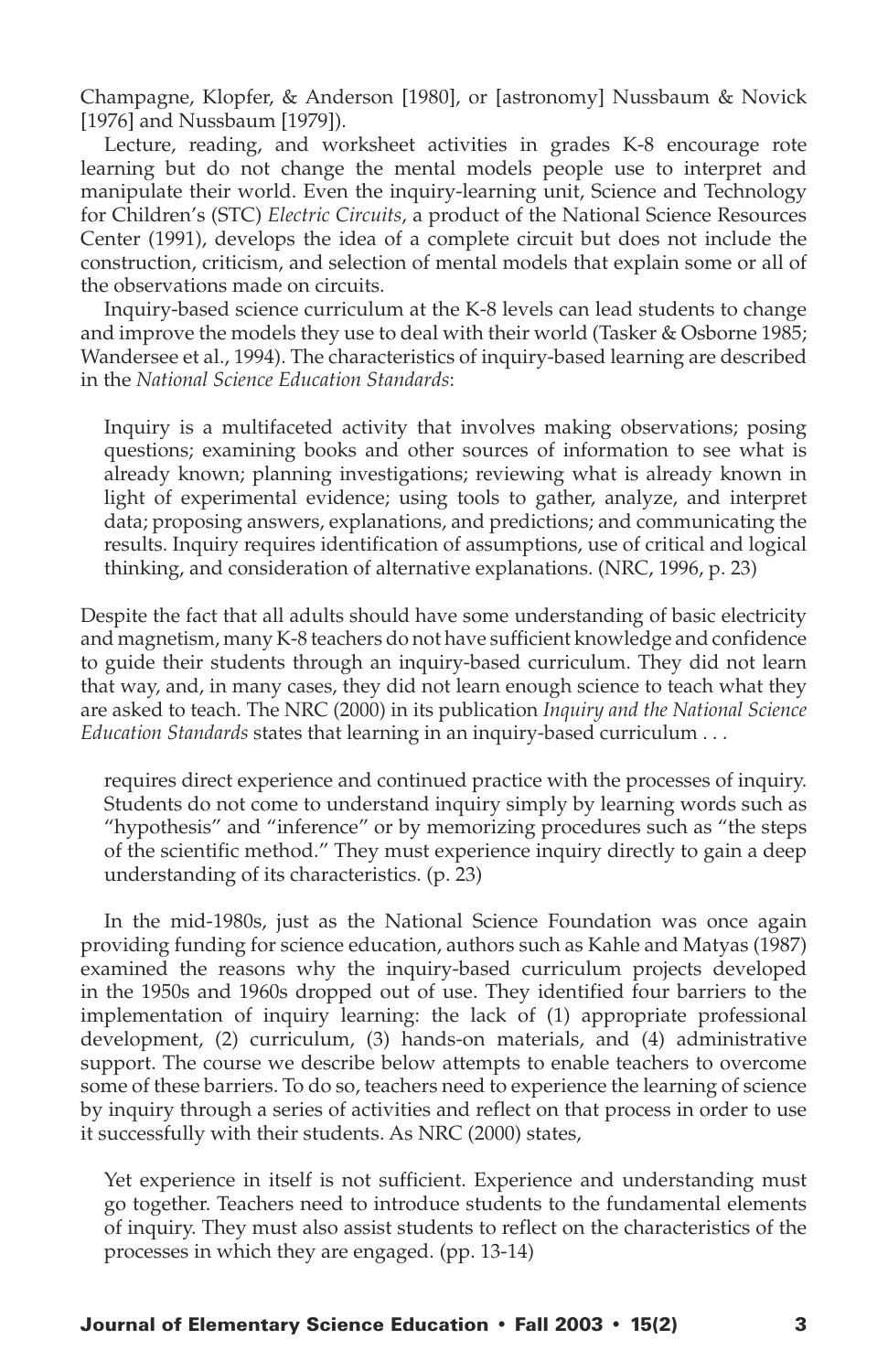Champagne, Klopfer, & Anderson [1980], or [astronomy] Nussbaum & Novick [1976] and Nussbaum [1979]).

Lecture, reading, and worksheet activities in grades K-8 encourage rote learning but do not change the mental models people use to interpret and manipulate their world. Even the inquiry-learning unit, Science and Technology for Children's (STC) *Electric Circuits*, a product of the National Science Resources Center (1991), develops the idea of a complete circuit but does not include the construction, criticism, and selection of mental models that explain some or all of the observations made on circuits.

Inquiry-based science curriculum at the K-8 levels can lead students to change and improve the models they use to deal with their world (Tasker & Osborne 1985; Wandersee et al., 1994). The characteristics of inquiry-based learning are described in the *National Science Education Standards*:

Inquiry is a multifaceted activity that involves making observations; posing questions; examining books and other sources of information to see what is already known; planning investigations; reviewing what is already known in light of experimental evidence; using tools to gather, analyze, and interpret data; proposing answers, explanations, and predictions; and communicating the results. Inquiry requires identification of assumptions, use of critical and logical thinking, and consideration of alternative explanations. (NRC, 1996, p. 23)

Despite the fact that all adults should have some understanding of basic electricity and magnetism, many K-8 teachers do not have sufficient knowledge and confidence to guide their students through an inquiry-based curriculum. They did not learn that way, and, in many cases, they did not learn enough science to teach what they are asked to teach. The NRC (2000) in its publication *Inquiry and the National Science Education Standards* states that learning in an inquiry-based curriculum . . .

requires direct experience and continued practice with the processes of inquiry. Students do not come to understand inquiry simply by learning words such as "hypothesis" and "inference" or by memorizing procedures such as "the steps of the scientific method." They must experience inquiry directly to gain a deep understanding of its characteristics. (p. 23)

In the mid-1980s, just as the National Science Foundation was once again providing funding for science education, authors such as Kahle and Matyas (1987) examined the reasons why the inquiry-based curriculum projects developed in the 1950s and 1960s dropped out of use. They identified four barriers to the implementation of inquiry learning: the lack of (1) appropriate professional development, (2) curriculum, (3) hands-on materials, and (4) administrative support. The course we describe below attempts to enable teachers to overcome some of these barriers. To do so, teachers need to experience the learning of science by inquiry through a series of activities and reflect on that process in order to use it successfully with their students. As NRC (2000) states,

Yet experience in itself is not sufficient. Experience and understanding must go together. Teachers need to introduce students to the fundamental elements of inquiry. They must also assist students to reflect on the characteristics of the processes in which they are engaged. (pp. 13-14)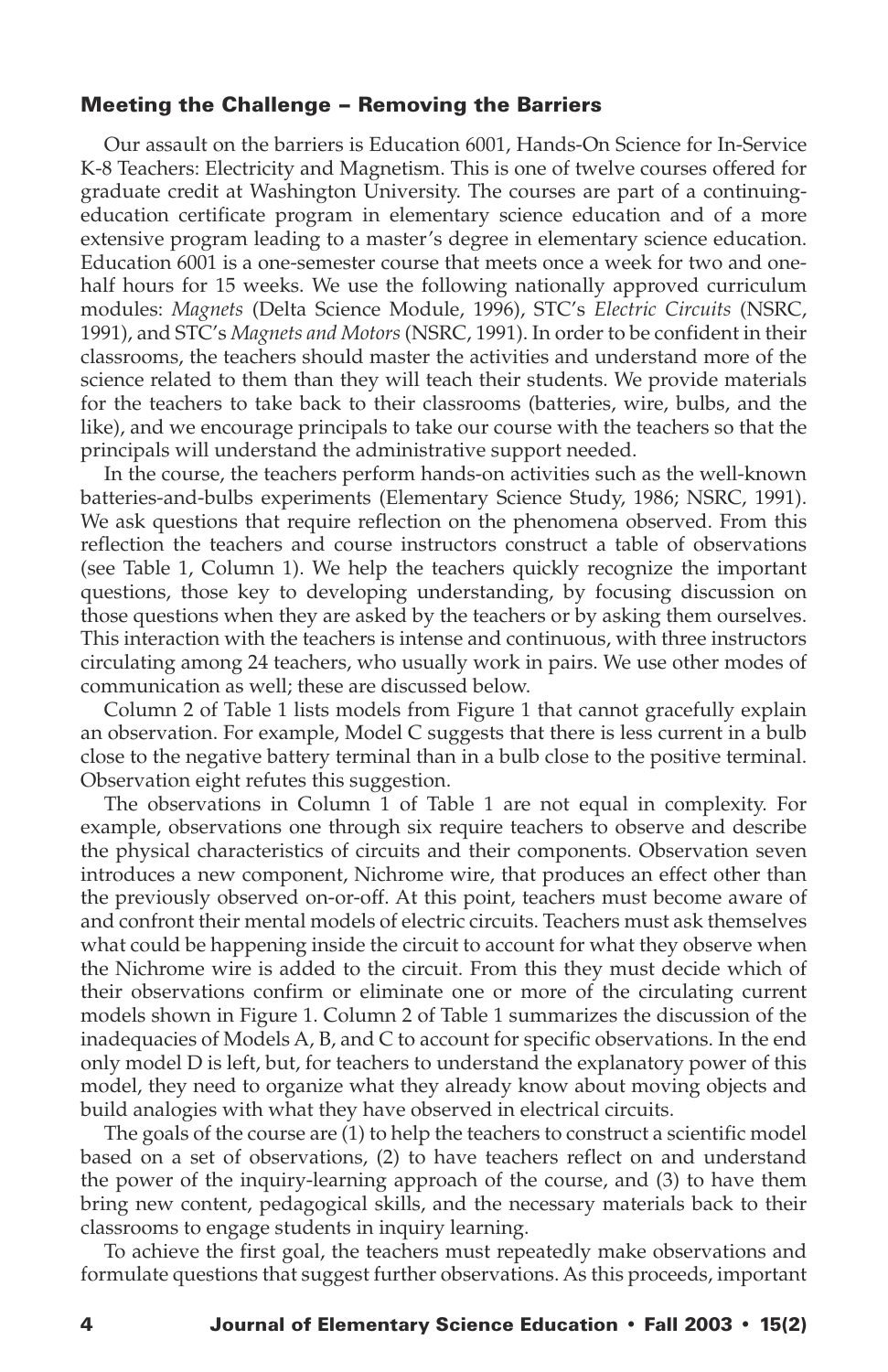## Meeting the Challenge – Removing the Barriers

Our assault on the barriers is Education 6001, Hands-On Science for In-Service K-8 Teachers: Electricity and Magnetism. This is one of twelve courses offered for graduate credit at Washington University. The courses are part of a continuingeducation certificate program in elementary science education and of a more extensive program leading to a master's degree in elementary science education. Education 6001 is a one-semester course that meets once a week for two and onehalf hours for 15 weeks. We use the following nationally approved curriculum modules: *Magnets* (Delta Science Module, 1996), STC's *Electric Circuits* (NSRC, 1991), and STC's *Magnets and Motors* (NSRC, 1991). In order to be confident in their classrooms, the teachers should master the activities and understand more of the science related to them than they will teach their students. We provide materials for the teachers to take back to their classrooms (batteries, wire, bulbs, and the like), and we encourage principals to take our course with the teachers so that the principals will understand the administrative support needed.

In the course, the teachers perform hands-on activities such as the well-known batteries-and-bulbs experiments (Elementary Science Study, 1986; NSRC, 1991). We ask questions that require reflection on the phenomena observed. From this reflection the teachers and course instructors construct a table of observations (see Table 1, Column 1). We help the teachers quickly recognize the important questions, those key to developing understanding, by focusing discussion on those questions when they are asked by the teachers or by asking them ourselves. This interaction with the teachers is intense and continuous, with three instructors circulating among 24 teachers, who usually work in pairs. We use other modes of communication as well; these are discussed below.

Column 2 of Table 1 lists models from Figure 1 that cannot gracefully explain an observation. For example, Model C suggests that there is less current in a bulb close to the negative battery terminal than in a bulb close to the positive terminal. Observation eight refutes this suggestion.

The observations in Column 1 of Table 1 are not equal in complexity. For example, observations one through six require teachers to observe and describe the physical characteristics of circuits and their components. Observation seven introduces a new component, Nichrome wire, that produces an effect other than the previously observed on-or-off. At this point, teachers must become aware of and confront their mental models of electric circuits. Teachers must ask themselves what could be happening inside the circuit to account for what they observe when the Nichrome wire is added to the circuit. From this they must decide which of their observations confirm or eliminate one or more of the circulating current models shown in Figure 1. Column 2 of Table 1 summarizes the discussion of the inadequacies of Models A, B, and C to account for specific observations. In the end only model D is left, but, for teachers to understand the explanatory power of this model, they need to organize what they already know about moving objects and build analogies with what they have observed in electrical circuits.

The goals of the course are (1) to help the teachers to construct a scientific model based on a set of observations, (2) to have teachers reflect on and understand the power of the inquiry-learning approach of the course, and (3) to have them bring new content, pedagogical skills, and the necessary materials back to their classrooms to engage students in inquiry learning.

To achieve the first goal, the teachers must repeatedly make observations and formulate questions that suggest further observations. As this proceeds, important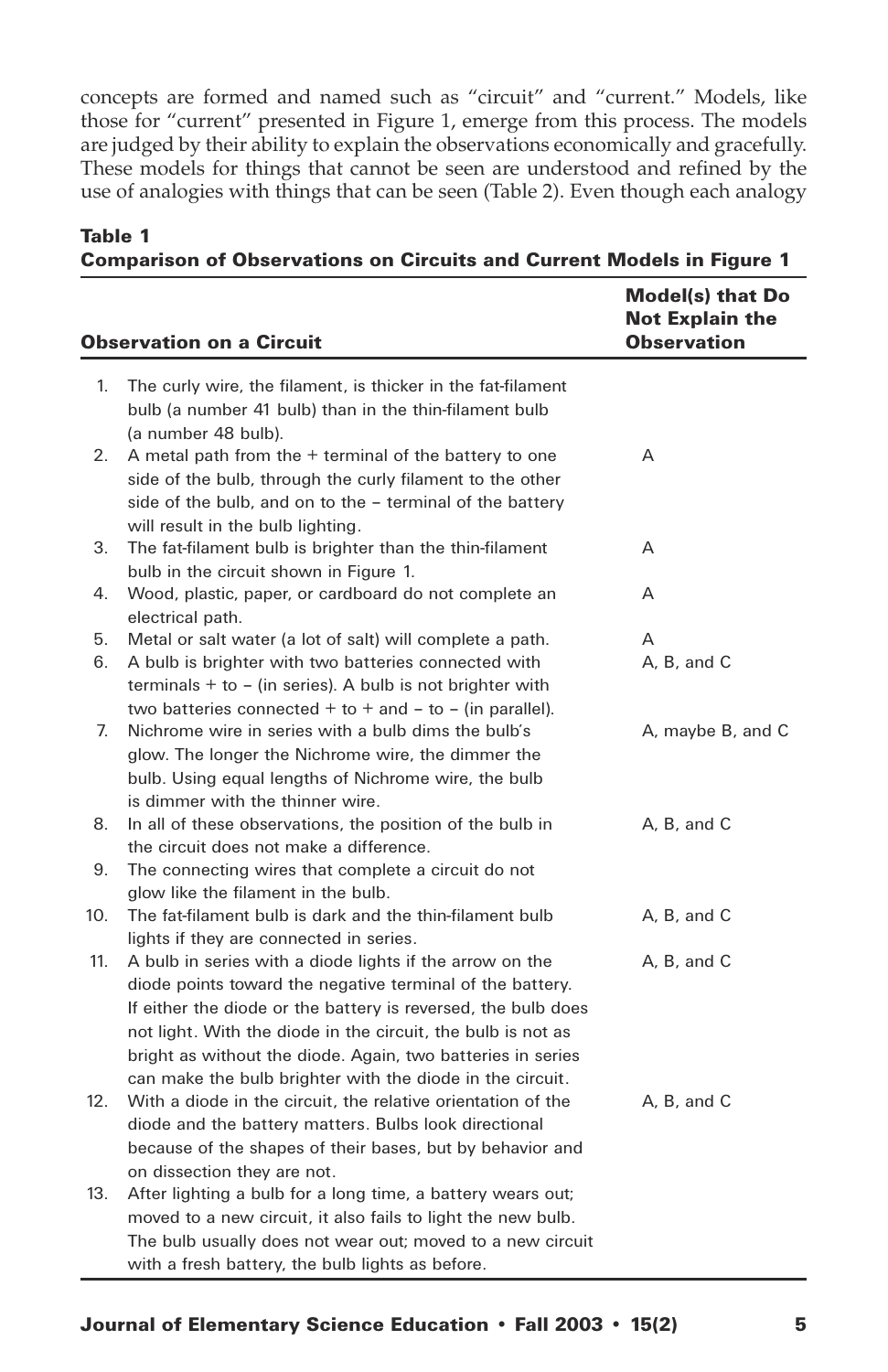concepts are formed and named such as "circuit" and "current." Models, like those for "current" presented in Figure 1, emerge from this process. The models are judged by their ability to explain the observations economically and gracefully. These models for things that cannot be seen are understood and refined by the use of analogies with things that can be seen (Table 2). Even though each analogy

|     | <b>Observation on a Circuit</b>                                                                                                                                                                                                                                                                                                                                                    | Model(s) that Do<br><b>Not Explain the</b><br><b>Observation</b> |
|-----|------------------------------------------------------------------------------------------------------------------------------------------------------------------------------------------------------------------------------------------------------------------------------------------------------------------------------------------------------------------------------------|------------------------------------------------------------------|
| 1.  | The curly wire, the filament, is thicker in the fat-filament<br>bulb (a number 41 bulb) than in the thin-filament bulb<br>(a number 48 bulb).                                                                                                                                                                                                                                      |                                                                  |
| 2.  | A metal path from the $+$ terminal of the battery to one<br>side of the bulb, through the curly filament to the other<br>side of the bulb, and on to the - terminal of the battery<br>will result in the bulb lighting.                                                                                                                                                            | Α                                                                |
| 3.  | The fat-filament bulb is brighter than the thin-filament<br>bulb in the circuit shown in Figure 1.                                                                                                                                                                                                                                                                                 | A                                                                |
| 4.  | Wood, plastic, paper, or cardboard do not complete an<br>electrical path.                                                                                                                                                                                                                                                                                                          | Α                                                                |
| 5.  | Metal or salt water (a lot of salt) will complete a path.                                                                                                                                                                                                                                                                                                                          | A                                                                |
| 6.  | A bulb is brighter with two batteries connected with<br>terminals $+$ to $-$ (in series). A bulb is not brighter with<br>two batteries connected $+$ to $+$ and $-$ to $-$ (in parallel).                                                                                                                                                                                          | A, B, and C                                                      |
| 7.  | Nichrome wire in series with a bulb dims the bulb's<br>glow. The longer the Nichrome wire, the dimmer the<br>bulb. Using equal lengths of Nichrome wire, the bulb<br>is dimmer with the thinner wire.                                                                                                                                                                              | A, maybe B, and C                                                |
| 8.  | In all of these observations, the position of the bulb in<br>the circuit does not make a difference.                                                                                                                                                                                                                                                                               | A, B, and C                                                      |
| 9.  | The connecting wires that complete a circuit do not<br>glow like the filament in the bulb.                                                                                                                                                                                                                                                                                         |                                                                  |
| 10. | The fat-filament bulb is dark and the thin-filament bulb<br>lights if they are connected in series.                                                                                                                                                                                                                                                                                | A, B, and C                                                      |
| 11. | A bulb in series with a diode lights if the arrow on the<br>diode points toward the negative terminal of the battery.<br>If either the diode or the battery is reversed, the bulb does<br>not light. With the diode in the circuit, the bulb is not as<br>bright as without the diode. Again, two batteries in series<br>can make the bulb brighter with the diode in the circuit. | A, B, and C                                                      |
| 12. | With a diode in the circuit, the relative orientation of the<br>diode and the battery matters. Bulbs look directional<br>because of the shapes of their bases, but by behavior and<br>on dissection they are not.                                                                                                                                                                  | A. B. and C                                                      |
| 13. | After lighting a bulb for a long time, a battery wears out;<br>moved to a new circuit, it also fails to light the new bulb.<br>The bulb usually does not wear out; moved to a new circuit<br>with a fresh battery, the bulb lights as before.                                                                                                                                      |                                                                  |

### Table 1 Comparison of Observations on Circuits and Current Models in Figure 1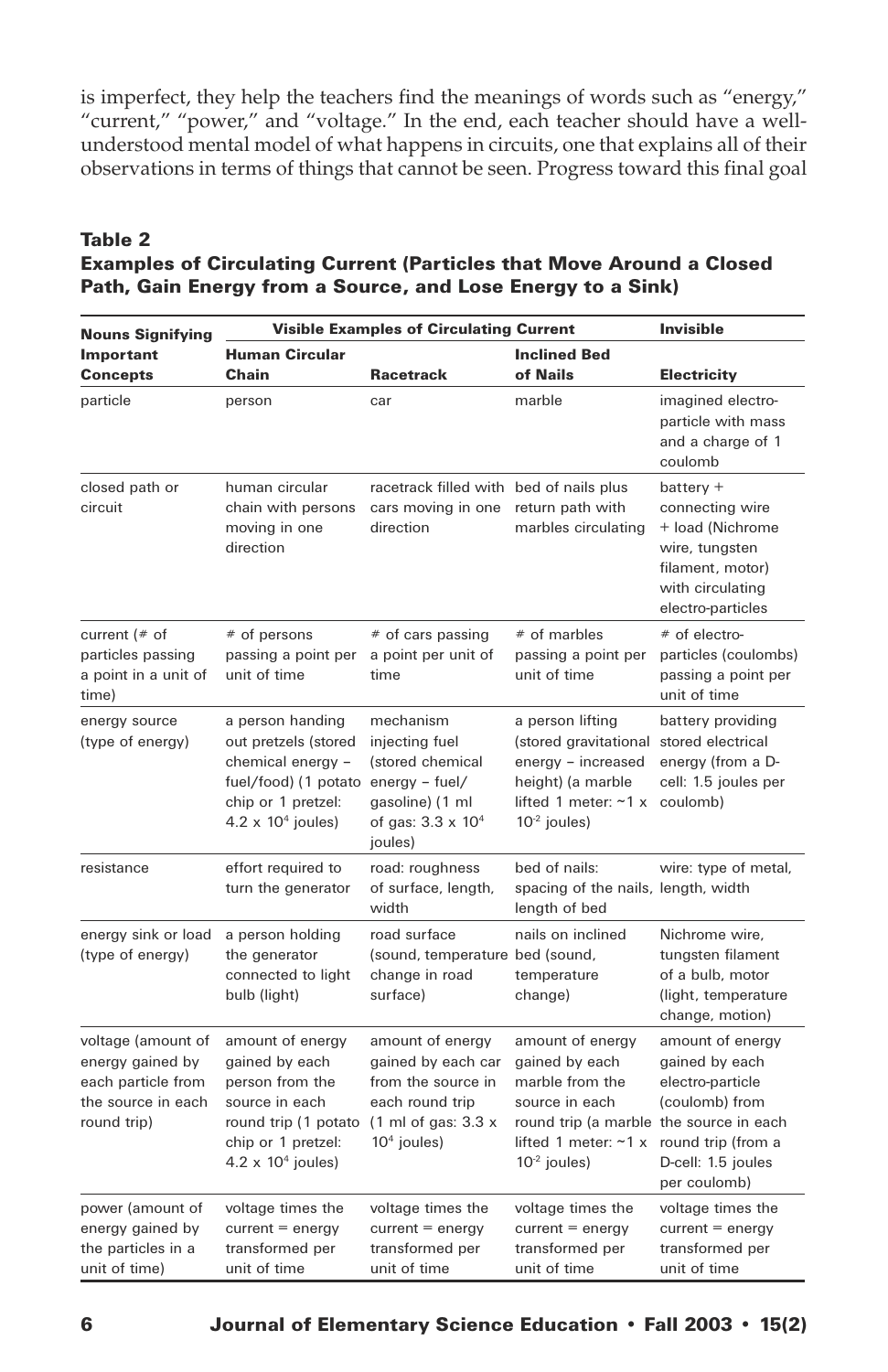is imperfect, they help the teachers find the meanings of words such as "energy," "current," "power," and "voltage." In the end, each teacher should have a wellunderstood mental model of what happens in circuits, one that explains all of their observations in terms of things that cannot be seen. Progress toward this final goal

# Table 2 Examples of Circulating Current (Particles that Move Around a Closed Path, Gain Energy from a Source, and Lose Energy to a Sink)

| <b>Nouns Signifying</b>                                                                           | <b>Visible Examples of Circulating Current</b>                                                                                                          | <b>Invisible</b>                                                                                                                           |                                                                                                                                                              |                                                                                                                                      |
|---------------------------------------------------------------------------------------------------|---------------------------------------------------------------------------------------------------------------------------------------------------------|--------------------------------------------------------------------------------------------------------------------------------------------|--------------------------------------------------------------------------------------------------------------------------------------------------------------|--------------------------------------------------------------------------------------------------------------------------------------|
| Important<br><b>Concepts</b>                                                                      | <b>Human Circular</b><br>Chain                                                                                                                          | <b>Racetrack</b>                                                                                                                           | <b>Inclined Bed</b><br>of Nails                                                                                                                              | Electricity                                                                                                                          |
| particle                                                                                          | person                                                                                                                                                  | car                                                                                                                                        | marble                                                                                                                                                       | imagined electro-<br>particle with mass<br>and a charge of 1<br>coulomb                                                              |
| closed path or<br>circuit                                                                         | human circular<br>chain with persons<br>moving in one<br>direction                                                                                      | racetrack filled with bed of nails plus<br>cars moving in one<br>direction                                                                 | return path with<br>marbles circulating                                                                                                                      | $b$ attery +<br>connecting wire<br>+ load (Nichrome<br>wire, tungsten<br>filament, motor)<br>with circulating<br>electro-particles   |
| current $(*$ of<br>particles passing<br>a point in a unit of<br>time)                             | # of persons<br>passing a point per<br>unit of time                                                                                                     | # of cars passing<br>a point per unit of<br>time                                                                                           | # of marbles<br>passing a point per<br>unit of time                                                                                                          | # of electro-<br>particles (coulombs)<br>passing a point per<br>unit of time                                                         |
| energy source<br>(type of energy)                                                                 | a person handing<br>out pretzels (stored<br>chemical energy -<br>fuel/food) (1 potato energy - fuel/<br>chip or 1 pretzel:<br>$4.2 \times 10^4$ joules) | mechanism<br>injecting fuel<br>(stored chemical<br>gasoline) (1 ml<br>of gas: $3.3 \times 10^4$<br>joules)                                 | a person lifting<br>(stored gravitational<br>energy - increased<br>height) (a marble<br>lifted 1 meter: $~1$ x<br>$10-2$ joules)                             | battery providing<br>stored electrical<br>energy (from a D-<br>cell: 1.5 joules per<br>coulomb)                                      |
| resistance                                                                                        | effort required to<br>turn the generator                                                                                                                | road: roughness<br>of surface, length,<br>width                                                                                            | bed of nails:<br>spacing of the nails, length, width<br>length of bed                                                                                        | wire: type of metal,                                                                                                                 |
| energy sink or load<br>(type of energy)                                                           | a person holding<br>the generator<br>connected to light<br>bulb (light)                                                                                 | road surface<br>(sound, temperature bed (sound,<br>change in road<br>surface)                                                              | nails on inclined<br>temperature<br>change)                                                                                                                  | Nichrome wire,<br>tungsten filament<br>of a bulb, motor<br>(light, temperature<br>change, motion)                                    |
| voltage (amount of<br>energy gained by<br>each particle from<br>the source in each<br>round trip) | amount of energy<br>gained by each<br>person from the<br>source in each<br>round trip (1 potato<br>chip or 1 pretzel:<br>$4.2 \times 10^4$ joules)      | amount of energy<br>gained by each car<br>from the source in<br>each round trip<br>$(1 \text{ ml of gas}: 3.3 \text{ x})$<br>$104$ joules) | amount of energy<br>gained by each<br>marble from the<br>source in each<br>round trip (a marble the source in each<br>lifted 1 meter: ~1 x<br>$10-2$ joules) | amount of energy<br>gained by each<br>electro-particle<br>(coulomb) from<br>round trip (from a<br>D-cell: 1.5 joules<br>per coulomb) |
| power (amount of<br>energy gained by<br>the particles in a<br>unit of time)                       | voltage times the<br>$current = energy$<br>transformed per<br>unit of time                                                                              | voltage times the<br>$current = energy$<br>transformed per<br>unit of time                                                                 | voltage times the<br>$current = energy$<br>transformed per<br>unit of time                                                                                   | voltage times the<br>$current = energy$<br>transformed per<br>unit of time                                                           |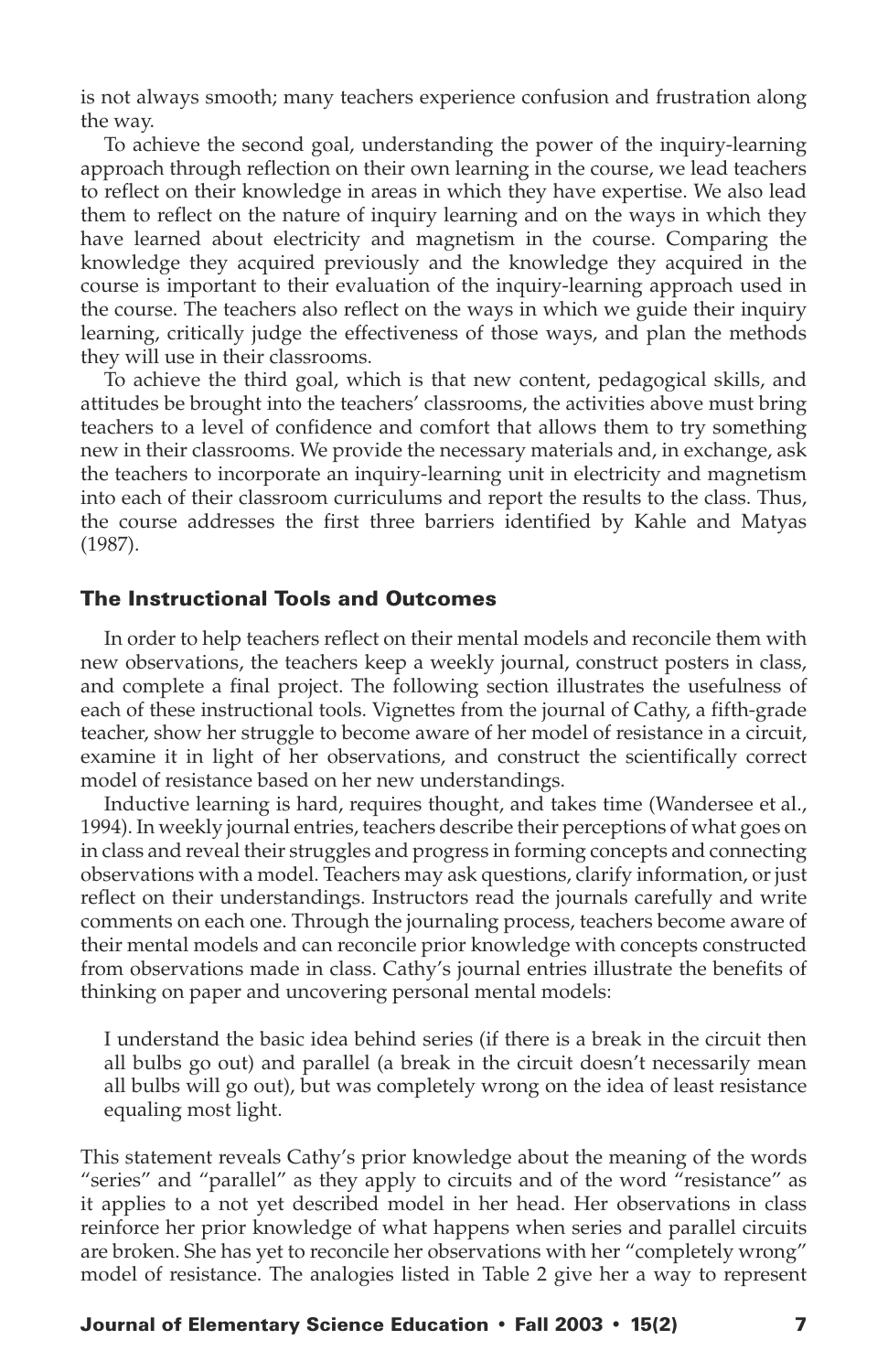is not always smooth; many teachers experience confusion and frustration along the way.

To achieve the second goal, understanding the power of the inquiry-learning approach through reflection on their own learning in the course, we lead teachers to reflect on their knowledge in areas in which they have expertise. We also lead them to reflect on the nature of inquiry learning and on the ways in which they have learned about electricity and magnetism in the course. Comparing the knowledge they acquired previously and the knowledge they acquired in the course is important to their evaluation of the inquiry-learning approach used in the course. The teachers also reflect on the ways in which we guide their inquiry learning, critically judge the effectiveness of those ways, and plan the methods they will use in their classrooms.

To achieve the third goal, which is that new content, pedagogical skills, and attitudes be brought into the teachers' classrooms, the activities above must bring teachers to a level of confidence and comfort that allows them to try something new in their classrooms. We provide the necessary materials and, in exchange, ask the teachers to incorporate an inquiry-learning unit in electricity and magnetism into each of their classroom curriculums and report the results to the class. Thus, the course addresses the first three barriers identified by Kahle and Matyas (1987).

#### The Instructional Tools and Outcomes

In order to help teachers reflect on their mental models and reconcile them with new observations, the teachers keep a weekly journal, construct posters in class, and complete a final project. The following section illustrates the usefulness of each of these instructional tools. Vignettes from the journal of Cathy, a fifth-grade teacher, show her struggle to become aware of her model of resistance in a circuit, examine it in light of her observations, and construct the scientifically correct model of resistance based on her new understandings.

Inductive learning is hard, requires thought, and takes time (Wandersee et al., 1994). In weekly journal entries, teachers describe their perceptions of what goes on in class and reveal their struggles and progress in forming concepts and connecting observations with a model. Teachers may ask questions, clarify information, or just reflect on their understandings. Instructors read the journals carefully and write comments on each one. Through the journaling process, teachers become aware of their mental models and can reconcile prior knowledge with concepts constructed from observations made in class. Cathy's journal entries illustrate the benefits of thinking on paper and uncovering personal mental models:

I understand the basic idea behind series (if there is a break in the circuit then all bulbs go out) and parallel (a break in the circuit doesn't necessarily mean all bulbs will go out), but was completely wrong on the idea of least resistance equaling most light.

This statement reveals Cathy's prior knowledge about the meaning of the words "series" and "parallel" as they apply to circuits and of the word "resistance" as it applies to a not yet described model in her head. Her observations in class reinforce her prior knowledge of what happens when series and parallel circuits are broken. She has yet to reconcile her observations with her "completely wrong" model of resistance. The analogies listed in Table 2 give her a way to represent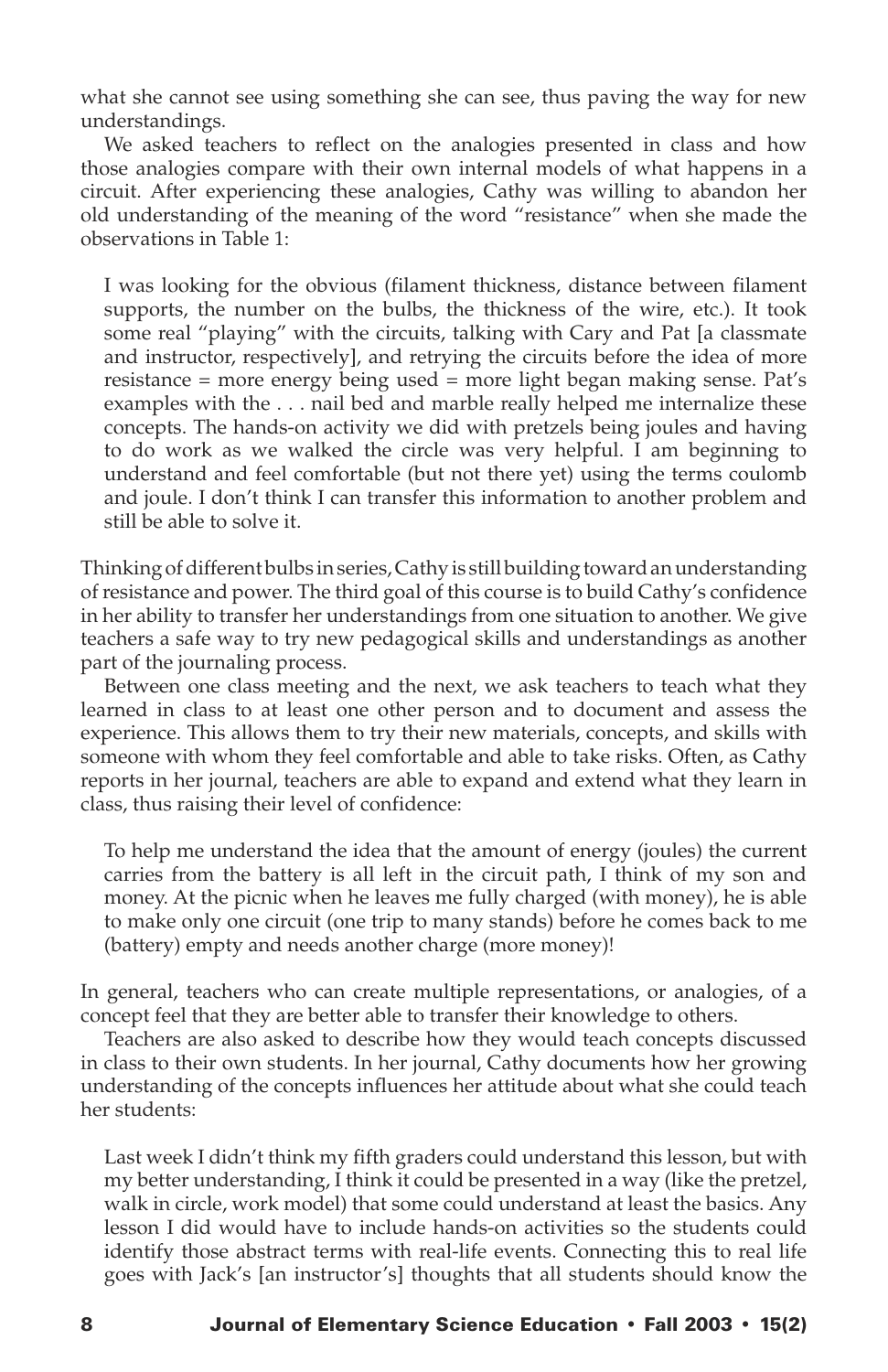what she cannot see using something she can see, thus paving the way for new understandings.

We asked teachers to reflect on the analogies presented in class and how those analogies compare with their own internal models of what happens in a circuit. After experiencing these analogies, Cathy was willing to abandon her old understanding of the meaning of the word "resistance" when she made the observations in Table 1:

I was looking for the obvious (filament thickness, distance between filament supports, the number on the bulbs, the thickness of the wire, etc.). It took some real "playing" with the circuits, talking with Cary and Pat [a classmate and instructor, respectively], and retrying the circuits before the idea of more resistance = more energy being used = more light began making sense. Pat's examples with the . . . nail bed and marble really helped me internalize these concepts. The hands-on activity we did with pretzels being joules and having to do work as we walked the circle was very helpful. I am beginning to understand and feel comfortable (but not there yet) using the terms coulomb and joule. I don't think I can transfer this information to another problem and still be able to solve it.

Thinking of different bulbs in series, Cathy is still building toward an understanding of resistance and power. The third goal of this course is to build Cathy's confidence in her ability to transfer her understandings from one situation to another. We give teachers a safe way to try new pedagogical skills and understandings as another part of the journaling process.

Between one class meeting and the next, we ask teachers to teach what they learned in class to at least one other person and to document and assess the experience. This allows them to try their new materials, concepts, and skills with someone with whom they feel comfortable and able to take risks. Often, as Cathy reports in her journal, teachers are able to expand and extend what they learn in class, thus raising their level of confidence:

To help me understand the idea that the amount of energy (joules) the current carries from the battery is all left in the circuit path, I think of my son and money. At the picnic when he leaves me fully charged (with money), he is able to make only one circuit (one trip to many stands) before he comes back to me (battery) empty and needs another charge (more money)!

In general, teachers who can create multiple representations, or analogies, of a concept feel that they are better able to transfer their knowledge to others.

Teachers are also asked to describe how they would teach concepts discussed in class to their own students. In her journal, Cathy documents how her growing understanding of the concepts influences her attitude about what she could teach her students:

Last week I didn't think my fifth graders could understand this lesson, but with my better understanding, I think it could be presented in a way (like the pretzel, walk in circle, work model) that some could understand at least the basics. Any lesson I did would have to include hands-on activities so the students could identify those abstract terms with real-life events. Connecting this to real life goes with Jack's [an instructor's] thoughts that all students should know the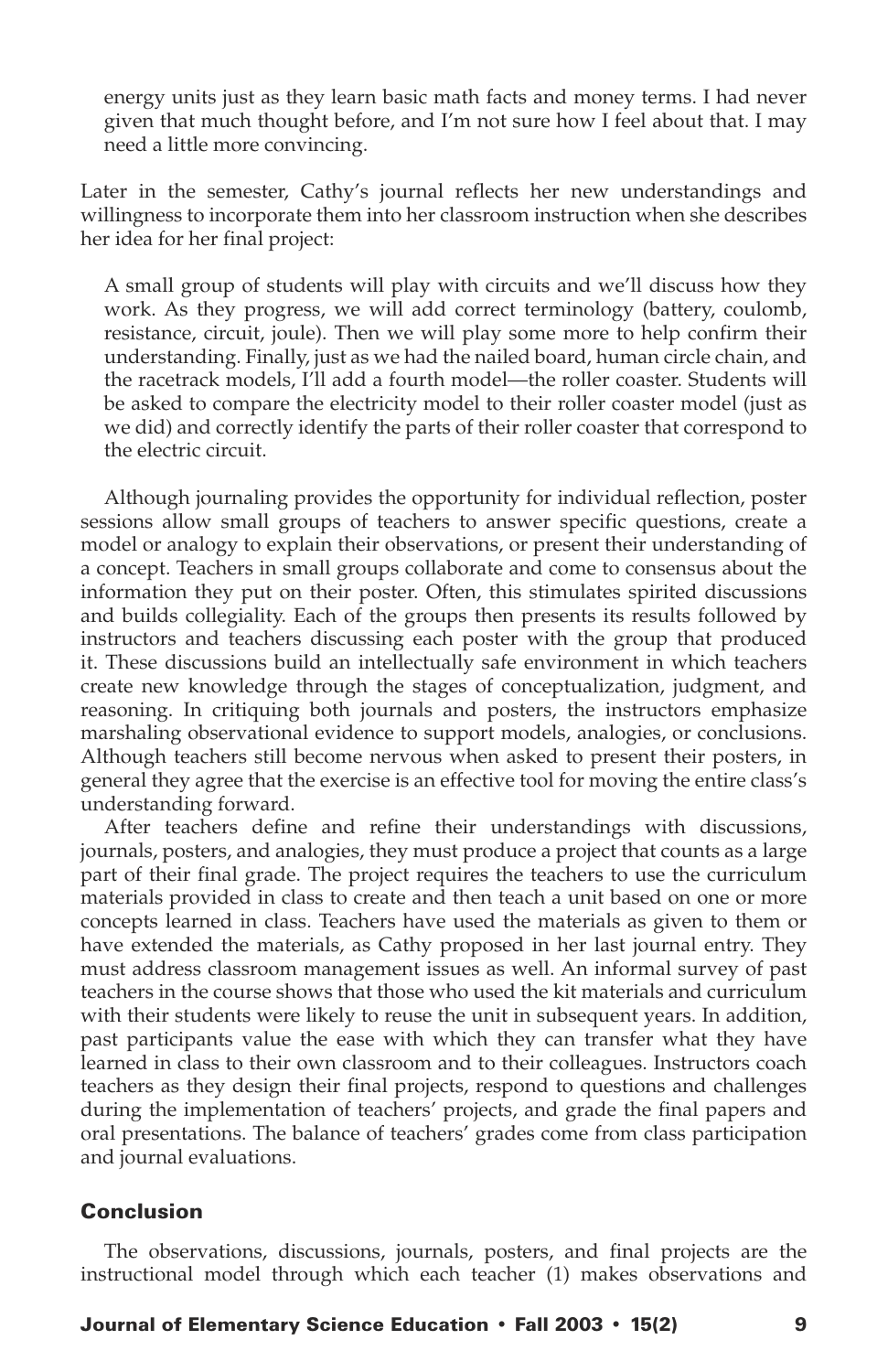energy units just as they learn basic math facts and money terms. I had never given that much thought before, and I'm not sure how I feel about that. I may need a little more convincing.

Later in the semester, Cathy's journal reflects her new understandings and willingness to incorporate them into her classroom instruction when she describes her idea for her final project:

A small group of students will play with circuits and we'll discuss how they work. As they progress, we will add correct terminology (battery, coulomb, resistance, circuit, joule). Then we will play some more to help confirm their understanding. Finally, just as we had the nailed board, human circle chain, and the racetrack models, I'll add a fourth model—the roller coaster. Students will be asked to compare the electricity model to their roller coaster model (just as we did) and correctly identify the parts of their roller coaster that correspond to the electric circuit.

Although journaling provides the opportunity for individual reflection, poster sessions allow small groups of teachers to answer specific questions, create a model or analogy to explain their observations, or present their understanding of a concept. Teachers in small groups collaborate and come to consensus about the information they put on their poster. Often, this stimulates spirited discussions and builds collegiality. Each of the groups then presents its results followed by instructors and teachers discussing each poster with the group that produced it. These discussions build an intellectually safe environment in which teachers create new knowledge through the stages of conceptualization, judgment, and reasoning. In critiquing both journals and posters, the instructors emphasize marshaling observational evidence to support models, analogies, or conclusions. Although teachers still become nervous when asked to present their posters, in general they agree that the exercise is an effective tool for moving the entire class's understanding forward.

After teachers define and refine their understandings with discussions, journals, posters, and analogies, they must produce a project that counts as a large part of their final grade. The project requires the teachers to use the curriculum materials provided in class to create and then teach a unit based on one or more concepts learned in class. Teachers have used the materials as given to them or have extended the materials, as Cathy proposed in her last journal entry. They must address classroom management issues as well. An informal survey of past teachers in the course shows that those who used the kit materials and curriculum with their students were likely to reuse the unit in subsequent years. In addition, past participants value the ease with which they can transfer what they have learned in class to their own classroom and to their colleagues. Instructors coach teachers as they design their final projects, respond to questions and challenges during the implementation of teachers' projects, and grade the final papers and oral presentations. The balance of teachers' grades come from class participation and journal evaluations.

#### Conclusion

The observations, discussions, journals, posters, and final projects are the instructional model through which each teacher (1) makes observations and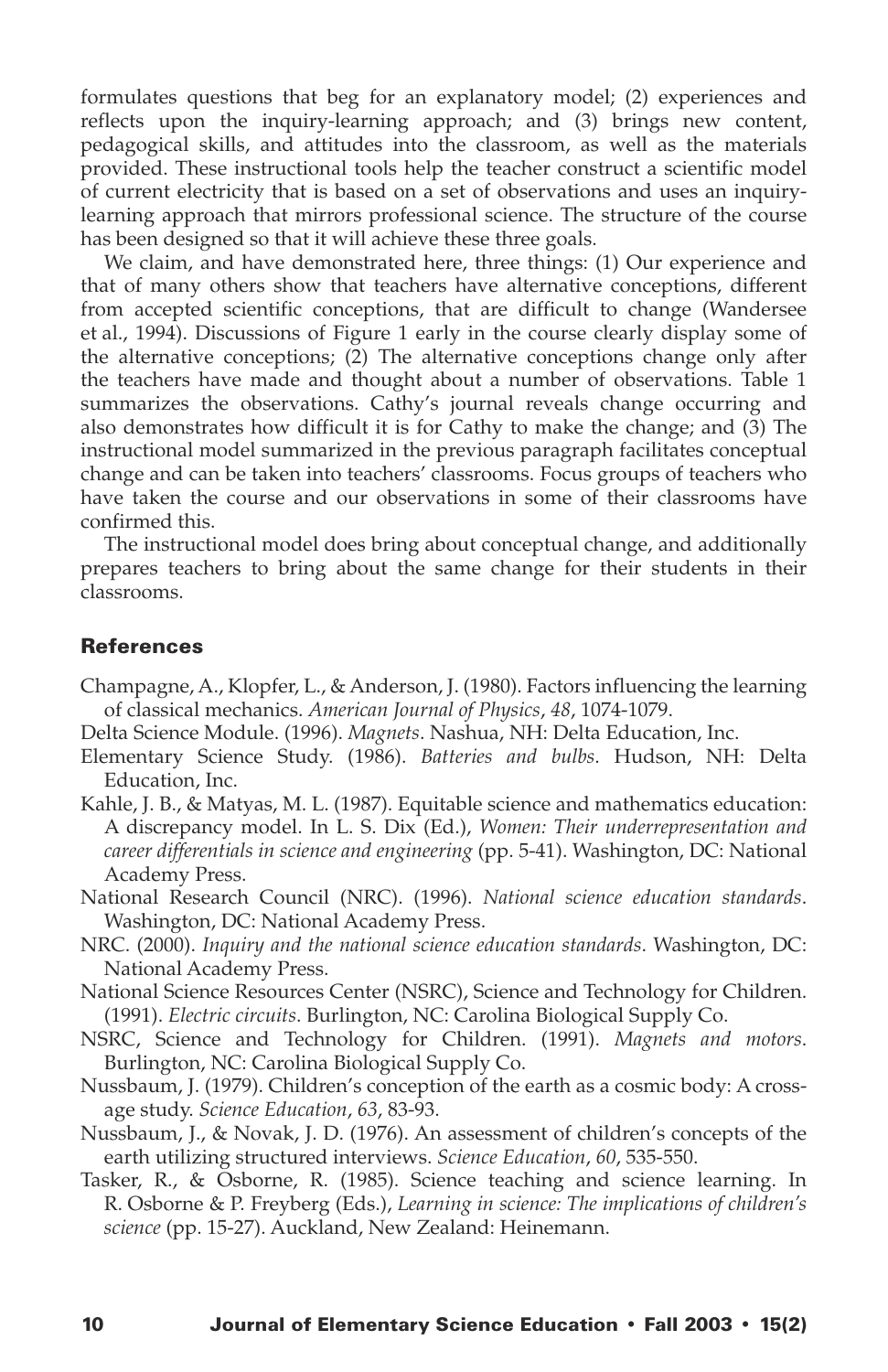formulates questions that beg for an explanatory model; (2) experiences and reflects upon the inquiry-learning approach; and (3) brings new content, pedagogical skills, and attitudes into the classroom, as well as the materials provided. These instructional tools help the teacher construct a scientific model of current electricity that is based on a set of observations and uses an inquirylearning approach that mirrors professional science. The structure of the course has been designed so that it will achieve these three goals.

We claim, and have demonstrated here, three things: (1) Our experience and that of many others show that teachers have alternative conceptions, different from accepted scientific conceptions, that are difficult to change (Wandersee et al., 1994). Discussions of Figure 1 early in the course clearly display some of the alternative conceptions; (2) The alternative conceptions change only after the teachers have made and thought about a number of observations. Table 1 summarizes the observations. Cathy's journal reveals change occurring and also demonstrates how difficult it is for Cathy to make the change; and (3) The instructional model summarized in the previous paragraph facilitates conceptual change and can be taken into teachers' classrooms. Focus groups of teachers who have taken the course and our observations in some of their classrooms have confirmed this.

The instructional model does bring about conceptual change, and additionally prepares teachers to bring about the same change for their students in their classrooms.

#### References

- Champagne, A., Klopfer, L., & Anderson, J. (1980). Factors influencing the learning of classical mechanics. *American Journal of Physics*, *48*, 1074-1079.
- Delta Science Module. (1996). *Magnets*. Nashua, NH: Delta Education, Inc.
- Elementary Science Study. (1986). *Batteries and bulbs*. Hudson, NH: Delta Education, Inc.
- Kahle, J. B., & Matyas, M. L. (1987). Equitable science and mathematics education: A discrepancy model. In L. S. Dix (Ed.), *Women: Their underrepresentation and career differentials in science and engineering* (pp. 5-41). Washington, DC: National Academy Press.
- National Research Council (NRC). (1996). *National science education standards*. Washington, DC: National Academy Press.
- NRC. (2000). *Inquiry and the national science education standards*. Washington, DC: National Academy Press.
- National Science Resources Center (NSRC), Science and Technology for Children. (1991). *Electric circuits*. Burlington, NC: Carolina Biological Supply Co.
- NSRC, Science and Technology for Children. (1991). *Magnets and motors*. Burlington, NC: Carolina Biological Supply Co.
- Nussbaum, J. (1979). Children's conception of the earth as a cosmic body: A crossage study. *Science Education*, *63*, 83-93.
- Nussbaum, J., & Novak, J. D. (1976). An assessment of children's concepts of the earth utilizing structured interviews. *Science Education*, *60*, 535-550.
- Tasker, R., & Osborne, R. (1985). Science teaching and science learning. In R. Osborne & P. Freyberg (Eds.), *Learning in science: The implications of children's science* (pp. 15-27). Auckland, New Zealand: Heinemann.